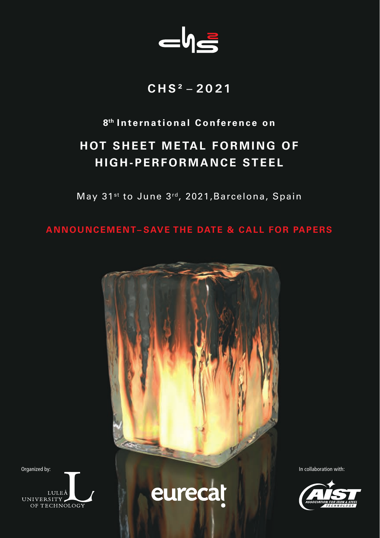

# **CHS² – 2021**

### **8th International Conference on**

# **HOT SHEET METAL FORMING OF HIGH-PERFORMANCE STEEL**

May 31<sup>st</sup> to June 3<sup>rd</sup>, 2021, Barcelona, Spain

**ANNOUNCEMENT– SAVE THE DATE & CALL FOR PAPERS**



 $LULEÅ$ UNIVERSITY

eurecat

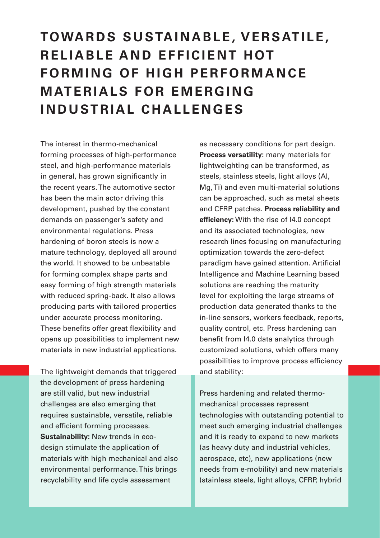# **TOWARDS SUSTAINABLE, VERSATILE, REI IARI E AND FFFICIENT HOT FORMING OF HIGH PERFORMANCE MATERIALS FOR EMERGING INDUSTRIAL CHALLENGES**

The interest in thermo-mechanical forming processes of high-performance steel, and high-performance materials in general, has grown significantly in the recent years. The automotive sector has been the main actor driving this development, pushed by the constant demands on passenger's safety and environmental regulations. Press hardening of boron steels is now a mature technology, deployed all around the world. It showed to be unbeatable for forming complex shape parts and easy forming of high strength materials with reduced spring-back. It also allows producing parts with tailored properties under accurate process monitoring. These benefits offer great flexibility and opens up possibilities to implement new materials in new industrial applications.

The lightweight demands that triggered the development of press hardening are still valid, but new industrial challenges are also emerging that requires sustainable, versatile, reliable and efficient forming processes. **Sustainability:** New trends in ecodesign stimulate the application of materials with high mechanical and also environmental performance. This brings recyclability and life cycle assessment

as necessary conditions for part design. **Process versatility:** many materials for lightweighting can be transformed, as steels, stainless steels, light alloys (Al, Mg, Ti) and even multi-material solutions can be approached, such as metal sheets and CFRP patches. **Process reliability and efficiency:** With the rise of I4.0 concept and its associated technologies, new research lines focusing on manufacturing optimization towards the zero-defect paradigm have gained attention. Artificial Intelligence and Machine Learning based solutions are reaching the maturity level for exploiting the large streams of production data generated thanks to the in-line sensors, workers feedback, reports, quality control, etc. Press hardening can benefit from I4.0 data analytics through customized solutions, which offers many possibilities to improve process efficiency and stability:

Press hardening and related thermomechanical processes represent technologies with outstanding potential to meet such emerging industrial challenges and it is ready to expand to new markets (as heavy duty and industrial vehicles, aerospace, etc), new applications (new needs from e-mobility) and new materials (stainless steels, light alloys, CFRP, hybrid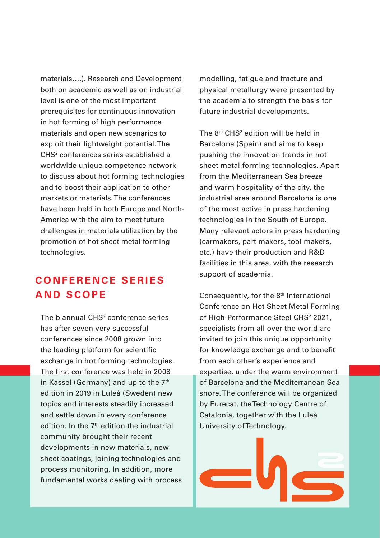materials….). Research and Development both on academic as well as on industrial level is one of the most important prerequisites for continuous innovation in hot forming of high performance materials and open new scenarios to exploit their lightweight potential. The CHS2 conferences series established a worldwide unique competence network to discuss about hot forming technologies and to boost their application to other markets or materials. The conferences have been held in both Europe and North-America with the aim to meet future challenges in materials utilization by the promotion of hot sheet metal forming technologies.

# **C O N F E R E N C E S E R I E S AND SCOPE**

The biannual CHS<sup>2</sup> conference series has after seven very successful conferences since 2008 grown into the leading platform for scientific exchange in hot forming technologies. The first conference was held in 2008 in Kassel (Germany) and up to the 7<sup>th</sup> edition in 2019 in Luleå (Sweden) new topics and interests steadily increased and settle down in every conference edition. In the 7<sup>th</sup> edition the industrial community brought their recent developments in new materials, new sheet coatings, joining technologies and process monitoring. In addition, more fundamental works dealing with process modelling, fatigue and fracture and physical metallurgy were presented by the academia to strength the basis for future industrial developments.

The  $8<sup>th</sup>$  CHS<sup>2</sup> edition will be held in Barcelona (Spain) and aims to keep pushing the innovation trends in hot sheet metal forming technologies. Apart from the Mediterranean Sea breeze and warm hospitality of the city, the industrial area around Barcelona is one of the most active in press hardening technologies in the South of Europe. Many relevant actors in press hardening (carmakers, part makers, tool makers, etc.) have their production and R&D facilities in this area, with the research support of academia.

Consequently, for the 8<sup>th</sup> International Conference on Hot Sheet Metal Forming of High-Performance Steel CHS<sup>2</sup> 2021, specialists from all over the world are invited to join this unique opportunity for knowledge exchange and to benefit from each other's experience and expertise, under the warm environment of Barcelona and the Mediterranean Sea shore. The conference will be organized by Eurecat, the Technology Centre of Catalonia, together with the Luleå University of Technology.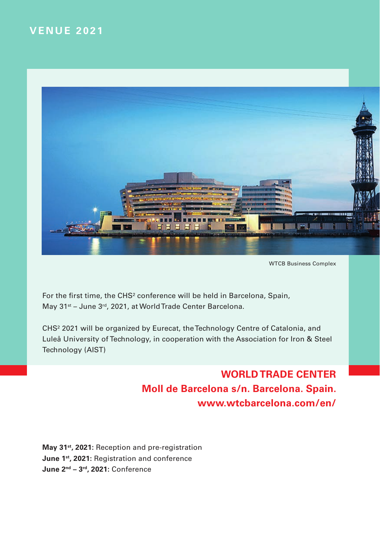# **VENUE 2021**



WTCB Business Complex

For the first time, the CHS<sup>2</sup> conference will be held in Barcelona, Spain, May 31<sup>st</sup> – June 3<sup>rd</sup>, 2021, at World Trade Center Barcelona.

CHS² 2021 will be organized by Eurecat, the Technology Centre of Catalonia, and Luleå University of Technology, in cooperation with the Association for Iron & Steel Technology (AIST)

> **WORLD TRADE CENTER Moll de Barcelona s/n. Barcelona. Spain. www.wtcbarcelona.com/en/**

**May 31st, 2021:** Reception and pre-registration **June 1st, 2021:** Registration and conference **June 2nd – 3rd, 2021:** Conference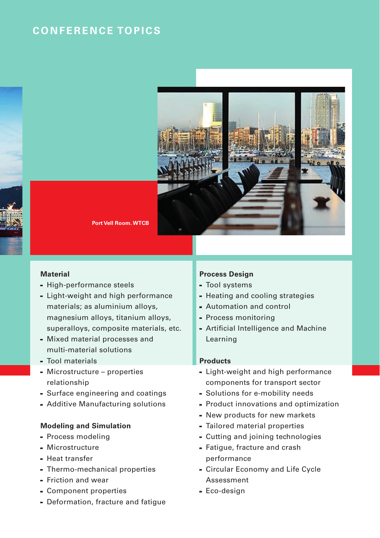## **CONFERENCE TOPICS**



**Port Vell Room. WTCB**

#### **Material**

- **-** High-performance steels
- **-** Light-weight and high performance materials; as aluminium alloys, magnesium alloys, titanium alloys, superalloys, composite materials, etc.
- **-** Mixed material processes and multi-material solutions
- **-** Tool materials
- **-** Microstructure properties relationship
- **-** Surface engineering and coatings
- **-** Additive Manufacturing solutions

#### **Modeling and Simulation**

- **-** Process modeling
- **-** Microstructure
- **-** Heat transfer
- **-** Thermo-mechanical properties
- **-** Friction and wear
- **-** Component properties
- **-** Deformation, fracture and fatigue

#### **Process Design**

- **-** Tool systems
- **-** Heating and cooling strategies
- **-** Automation and control
- **-** Process monitoring
- **-** Artificial Intelligence and Machine Learning

#### **Products**

- **-** Light-weight and high performance components for transport sector
- **-** Solutions for e-mobility needs
- **-** Product innovations and optimization
- **-** New products for new markets
- **-** Tailored material properties
- **-** Cutting and joining technologies
- **-** Fatigue, fracture and crash performance
- **-** Circular Economy and Life Cycle Assessment
- **-** Eco-design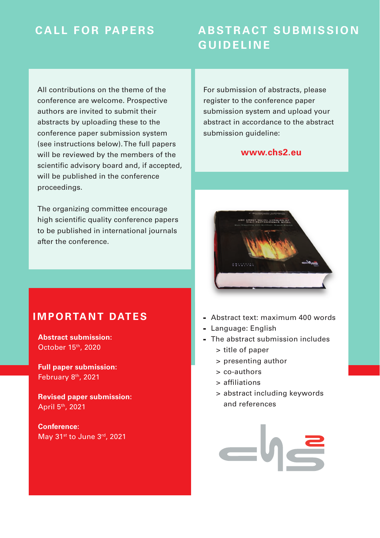# **CALL FOR PAPERS**

# **ABSTRACT SUBMISSION GUIDELINE**

All contributions on the theme of the conference are welcome. Prospective authors are invited to submit their abstracts by uploading these to the conference paper submission system (see instructions below). The full papers will be reviewed by the members of the scientific advisory board and, if accepted. will be published in the conference proceedings.

The organizing committee encourage high scientific quality conference papers to be published in international journals after the conference.

For submission of abstracts, please register to the conference paper submission system and upload your abstract in accordance to the abstract submission quideline:

#### **www.chs2.eu**



### **IMPORTANT DATES**

**Abstract submission:** October 15th, 2020

**Full paper submission:** February 8<sup>th</sup>, 2021

**Revised paper submission:** April 5th, 2021

**Conference:** May 31st to June 3rd, 2021

- **-** Abstract text: maximum 400 words
- **-** Language: English
- **-** The abstract submission includes
	- > title of paper
	- > presenting author
	- > co-authors
	- > affiliations
	- > abstract including keywords and references

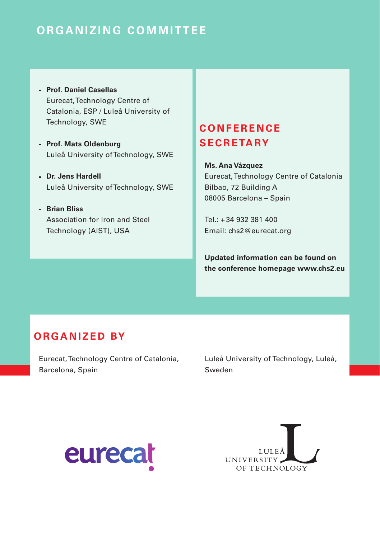# **ORGANIZING COMMITTEE**

- **- Prof. Daniel Casellas** Eurecat, Technology Centre of Catalonia, ESP / Luleå University of Technology, SWE
- **- Prof. Mats Oldenburg** Luleå University of Technology, SWE
- **- Dr. Jens Hardell** Luleå University of Technology, SWE
- **- Brian Bliss** Association for Iron and Steel Technology (AIST), USA

# **C O N F E R E N C E SECRETARY**

**Ms. Ana Vázquez** Eurecat, Technology Centre of Catalonia Bilbao, 72 Building A 08005 Barcelona – Spain

 $Tel + 34932331400$ Email: chs2@eurecat.org

**Updated information can be found on the conference homepage www.chs2.eu**

### **O R G A N I Z E D BY**

Eurecat, Technology Centre of Catalonia, Barcelona, Spain

Luleå University of Technology, Luleå, Sweden